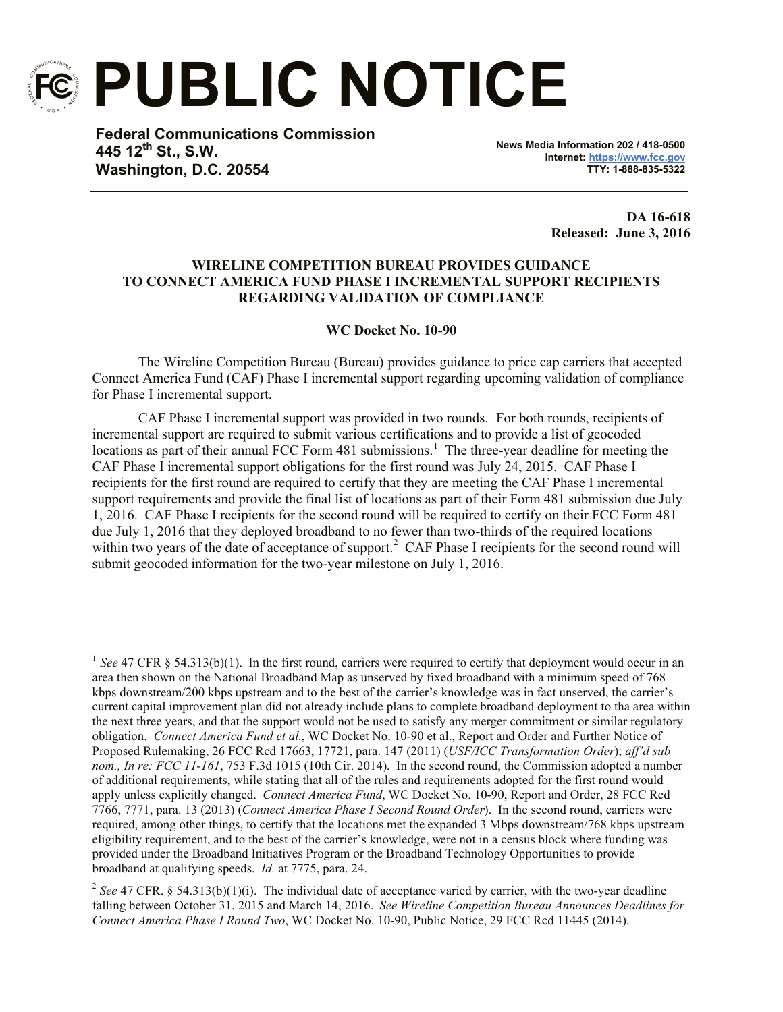

 $\overline{a}$ 

**PUBLIC NOTICE**

**Federal Communications Commission 445 12th St., S.W. Washington, D.C. 20554**

**News Media Information 202 / 418-0500 Internet: https://www.fcc.gov TTY: 1-888-835-5322**

> **DA 16-618 Released: June 3, 2016**

## **WIRELINE COMPETITION BUREAU PROVIDES GUIDANCE TO CONNECT AMERICA FUND PHASE I INCREMENTAL SUPPORT RECIPIENTS REGARDING VALIDATION OF COMPLIANCE**

## **WC Docket No. 10-90**

The Wireline Competition Bureau (Bureau) provides guidance to price cap carriers that accepted Connect America Fund (CAF) Phase I incremental support regarding upcoming validation of compliance for Phase I incremental support.

CAF Phase I incremental support was provided in two rounds. For both rounds, recipients of incremental support are required to submit various certifications and to provide a list of geocoded locations as part of their annual FCC Form 481 submissions.<sup>1</sup> The three-year deadline for meeting the CAF Phase I incremental support obligations for the first round was July 24, 2015. CAF Phase I recipients for the first round are required to certify that they are meeting the CAF Phase I incremental support requirements and provide the final list of locations as part of their Form 481 submission due July 1, 2016. CAF Phase I recipients for the second round will be required to certify on their FCC Form 481 due July 1, 2016 that they deployed broadband to no fewer than two-thirds of the required locations within two years of the date of acceptance of support.<sup>2</sup> CAF Phase I recipients for the second round will submit geocoded information for the two-year milestone on July 1, 2016.

<sup>&</sup>lt;sup>1</sup> See 47 CFR § 54.313(b)(1). In the first round, carriers were required to certify that deployment would occur in an area then shown on the National Broadband Map as unserved by fixed broadband with a minimum speed of 768 kbps downstream/200 kbps upstream and to the best of the carrier's knowledge was in fact unserved, the carrier's current capital improvement plan did not already include plans to complete broadband deployment to tha area within the next three years, and that the support would not be used to satisfy any merger commitment or similar regulatory obligation. *Connect America Fund et al.*, WC Docket No. 10-90 et al., Report and Order and Further Notice of Proposed Rulemaking, 26 FCC Rcd 17663, 17721, para. 147 (2011) (*USF/ICC Transformation Order*); *aff'd sub nom., In re: FCC 11-161*, 753 F.3d 1015 (10th Cir. 2014). In the second round, the Commission adopted a number of additional requirements, while stating that all of the rules and requirements adopted for the first round would apply unless explicitly changed. *Connect America Fund*, WC Docket No. 10-90, Report and Order, 28 FCC Rcd 7766, 7771, para. 13 (2013) (*Connect America Phase I Second Round Order*). In the second round, carriers were required, among other things, to certify that the locations met the expanded 3 Mbps downstream/768 kbps upstream eligibility requirement, and to the best of the carrier's knowledge, were not in a census block where funding was provided under the Broadband Initiatives Program or the Broadband Technology Opportunities to provide broadband at qualifying speeds. *Id.* at 7775, para. 24.

<sup>&</sup>lt;sup>2</sup> See 47 CFR. § 54.313(b)(1)(i). The individual date of acceptance varied by carrier, with the two-year deadline falling between October 31, 2015 and March 14, 2016. *See Wireline Competition Bureau Announces Deadlines for Connect America Phase I Round Two*, WC Docket No. 10-90, Public Notice, 29 FCC Rcd 11445 (2014).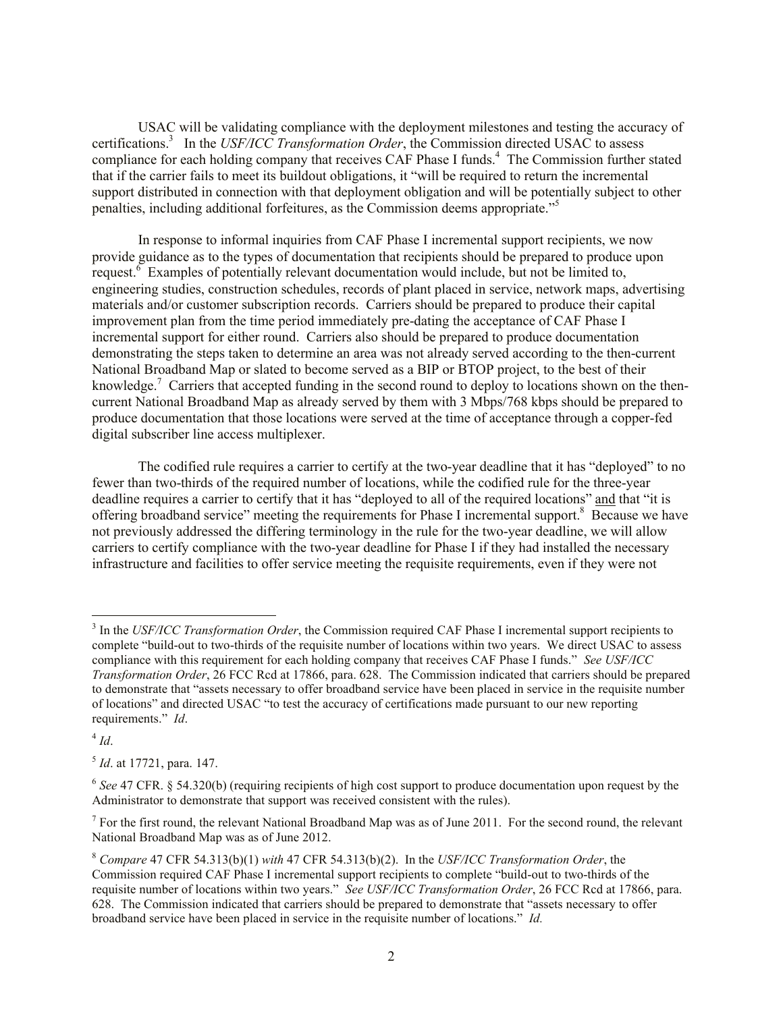USAC will be validating compliance with the deployment milestones and testing the accuracy of certifications.<sup>3</sup> In the *USF/ICC Transformation Order*, the Commission directed USAC to assess compliance for each holding company that receives CAF Phase I funds.<sup>4</sup> The Commission further stated that if the carrier fails to meet its buildout obligations, it "will be required to return the incremental support distributed in connection with that deployment obligation and will be potentially subject to other penalties, including additional forfeitures, as the Commission deems appropriate."<sup>5</sup>

In response to informal inquiries from CAF Phase I incremental support recipients, we now provide guidance as to the types of documentation that recipients should be prepared to produce upon request.<sup>6</sup> Examples of potentially relevant documentation would include, but not be limited to, engineering studies, construction schedules, records of plant placed in service, network maps, advertising materials and/or customer subscription records. Carriers should be prepared to produce their capital improvement plan from the time period immediately pre-dating the acceptance of CAF Phase I incremental support for either round. Carriers also should be prepared to produce documentation demonstrating the steps taken to determine an area was not already served according to the then-current National Broadband Map or slated to become served as a BIP or BTOP project, to the best of their knowledge.<sup>7</sup> Carriers that accepted funding in the second round to deploy to locations shown on the thencurrent National Broadband Map as already served by them with 3 Mbps/768 kbps should be prepared to produce documentation that those locations were served at the time of acceptance through a copper-fed digital subscriber line access multiplexer.

The codified rule requires a carrier to certify at the two-year deadline that it has "deployed" to no fewer than two-thirds of the required number of locations, while the codified rule for the three-year deadline requires a carrier to certify that it has "deployed to all of the required locations" and that "it is offering broadband service" meeting the requirements for Phase I incremental support.<sup>8</sup> Because we have not previously addressed the differing terminology in the rule for the two-year deadline, we will allow carriers to certify compliance with the two-year deadline for Phase I if they had installed the necessary infrastructure and facilities to offer service meeting the requisite requirements, even if they were not

4 *Id*.

<sup>&</sup>lt;sup>3</sup> In the *USF/ICC Transformation Order*, the Commission required CAF Phase I incremental support recipients to complete "build-out to two-thirds of the requisite number of locations within two years. We direct USAC to assess compliance with this requirement for each holding company that receives CAF Phase I funds." *See USF/ICC Transformation Order*, 26 FCC Rcd at 17866, para. 628. The Commission indicated that carriers should be prepared to demonstrate that "assets necessary to offer broadband service have been placed in service in the requisite number of locations" and directed USAC "to test the accuracy of certifications made pursuant to our new reporting requirements." *Id*.

<sup>5</sup> *Id*. at 17721, para. 147.

<sup>&</sup>lt;sup>6</sup> See 47 CFR. § 54.320(b) (requiring recipients of high cost support to produce documentation upon request by the Administrator to demonstrate that support was received consistent with the rules).

<sup>&</sup>lt;sup>7</sup> For the first round, the relevant National Broadband Map was as of June 2011. For the second round, the relevant National Broadband Map was as of June 2012.

<sup>8</sup> *Compare* 47 CFR 54.313(b)(1) *with* 47 CFR 54.313(b)(2). In the *USF/ICC Transformation Order*, the Commission required CAF Phase I incremental support recipients to complete "build-out to two-thirds of the requisite number of locations within two years." *See USF/ICC Transformation Order*, 26 FCC Rcd at 17866, para. 628. The Commission indicated that carriers should be prepared to demonstrate that "assets necessary to offer broadband service have been placed in service in the requisite number of locations." *Id.*